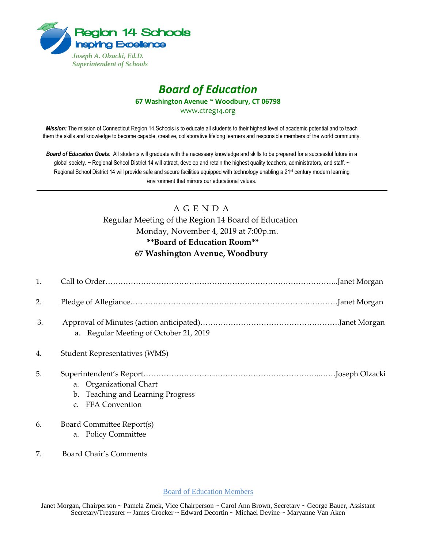

## *Board of Education* **67 Washington Avenue ~ Woodbury, CT 06798**

www.ctreg14.org

*Mission:* The mission of Connecticut Region 14 Schools is to educate all students to their highest level of academic potential and to teach them the skills and knowledge to become capable, creative, collaborative lifelong learners and responsible members of the world community.

*Board of Education Goals:* All students will graduate with the necessary knowledge and skills to be prepared for a successful future in a global society. ~ Regional School District 14 will attract, develop and retain the highest quality teachers, administrators, and staff. ~ Regional School District 14 will provide safe and secure facilities equipped with technology enabling a 21<sup>st</sup> century modern learning environment that mirrors our educational values.

# A G E N D A

Regular Meeting of the Region 14 Board of Education Monday, November 4, 2019 at 7:00p.m. **\*\*Board of Education Room\*\* 67 Washington Avenue, Woodbury** 

| 1. |                                                                                                     |
|----|-----------------------------------------------------------------------------------------------------|
| 2. |                                                                                                     |
| 3. | a. Regular Meeting of October 21, 2019                                                              |
| 4. | <b>Student Representatives (WMS)</b>                                                                |
| 5. | a. Organizational Chart<br>b. Teaching and Learning Progress<br><b>FFA Convention</b><br>$C_{\tau}$ |
| 6. | Board Committee Report(s)<br>a. Policy Committee                                                    |

7. Board Chair's Comments

Board of Education Members

Janet Morgan, Chairperson ~ Pamela Zmek, Vice Chairperson ~ Carol Ann Brown, Secretary ~ George Bauer, Assistant Secretary/Treasurer ~ James Crocker ~ Edward Decortin ~ Michael Devine ~ Maryanne Van Aken